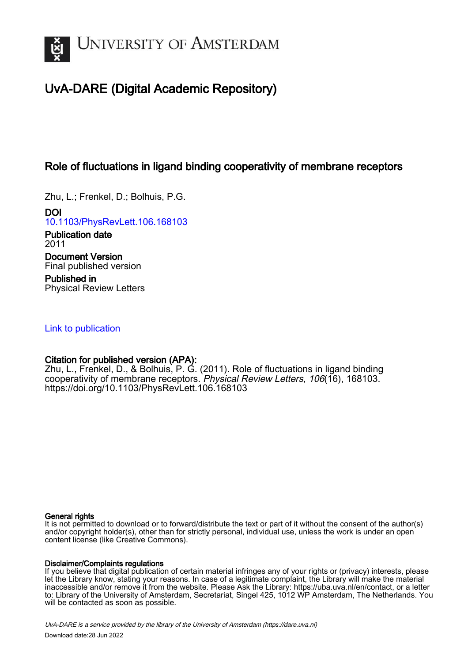

# UvA-DARE (Digital Academic Repository)

## Role of fluctuations in ligand binding cooperativity of membrane receptors

Zhu, L.; Frenkel, D.; Bolhuis, P.G.

DOI [10.1103/PhysRevLett.106.168103](https://doi.org/10.1103/PhysRevLett.106.168103) Publication date 2011

Document Version Final published version

Published in Physical Review Letters

## [Link to publication](https://dare.uva.nl/personal/pure/en/publications/role-of-fluctuations-in-ligand-binding-cooperativity-of-membrane-receptors(4ec2523d-ad45-46b8-8bea-3ce7770da5f7).html)

## Citation for published version (APA):

Zhu, L., Frenkel, D., & Bolhuis, P. G. (2011). Role of fluctuations in ligand binding cooperativity of membrane receptors. Physical Review Letters, 106(16), 168103. <https://doi.org/10.1103/PhysRevLett.106.168103>

#### General rights

It is not permitted to download or to forward/distribute the text or part of it without the consent of the author(s) and/or copyright holder(s), other than for strictly personal, individual use, unless the work is under an open content license (like Creative Commons).

#### Disclaimer/Complaints regulations

If you believe that digital publication of certain material infringes any of your rights or (privacy) interests, please let the Library know, stating your reasons. In case of a legitimate complaint, the Library will make the material inaccessible and/or remove it from the website. Please Ask the Library: https://uba.uva.nl/en/contact, or a letter to: Library of the University of Amsterdam, Secretariat, Singel 425, 1012 WP Amsterdam, The Netherlands. You will be contacted as soon as possible.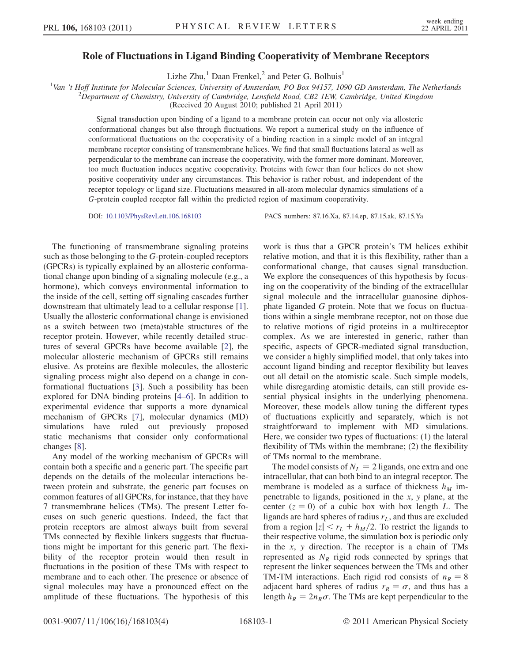### Role of Fluctuations in Ligand Binding Cooperativity of Membrane Receptors

Lizhe Zhu, $<sup>1</sup>$  Daan Frenkel, $<sup>2</sup>$  and Peter G. Bolhuis<sup>1</sup></sup></sup>

<sup>1</sup>Van 't Hoff Institute for Molecular Sciences, University of Amsterdam, PO Box 94157, 1090 GD Amsterdam, The Netherlands<br><sup>2</sup> Department of Chamistry University of Cambridge, Lansfield Road, CB2, LEW Cambridge, United Kin

 $P^2$ Department of Chemistry, University of Cambridge, Lensfield Road, CB2 1EW, Cambridge, United Kingdom

(Received 20 August 2010; published 21 April 2011)

Signal transduction upon binding of a ligand to a membrane protein can occur not only via allosteric conformational changes but also through fluctuations. We report a numerical study on the influence of conformational fluctuations on the cooperativity of a binding reaction in a simple model of an integral membrane receptor consisting of transmembrane helices. We find that small fluctuations lateral as well as perpendicular to the membrane can increase the cooperativity, with the former more dominant. Moreover, too much fluctuation induces negative cooperativity. Proteins with fewer than four helices do not show positive cooperativity under any circumstances. This behavior is rather robust, and independent of the receptor topology or ligand size. Fluctuations measured in all-atom molecular dynamics simulations of a G-protein coupled receptor fall within the predicted region of maximum cooperativity.

DOI: [10.1103/PhysRevLett.106.168103](http://dx.doi.org/10.1103/PhysRevLett.106.168103) PACS numbers: 87.16.Xa, 87.14.ep, 87.15.ak, 87.15.Ya

The functioning of transmembrane signaling proteins such as those belonging to the G-protein-coupled receptors (GPCRs) is typically explained by an allosteric conformational change upon binding of a signaling molecule (e.g., a hormone), which conveys environmental information to the inside of the cell, setting off signaling cascades further downstream that ultimately lead to a cellular response [[1\]](#page-4-0). Usually the allosteric conformational change is envisioned as a switch between two (meta)stable structures of the receptor protein. However, while recently detailed structures of several GPCRs have become available [\[2](#page-4-1)], the molecular allosteric mechanism of GPCRs still remains elusive. As proteins are flexible molecules, the allosteric signaling process might also depend on a change in conformational fluctuations [[3\]](#page-4-2). Such a possibility has been explored for DNA binding proteins [\[4](#page-4-3)–[6\]](#page-4-4). In addition to experimental evidence that supports a more dynamical mechanism of GPCRs [\[7\]](#page-4-5), molecular dynamics (MD) simulations have ruled out previously proposed static mechanisms that consider only conformational changes [\[8](#page-4-6)].

Any model of the working mechanism of GPCRs will contain both a specific and a generic part. The specific part depends on the details of the molecular interactions between protein and substrate, the generic part focuses on common features of all GPCRs, for instance, that they have 7 transmembrane helices (TMs). The present Letter focuses on such generic questions. Indeed, the fact that protein receptors are almost always built from several TMs connected by flexible linkers suggests that fluctuations might be important for this generic part. The flexibility of the receptor protein would then result in fluctuations in the position of these TMs with respect to membrane and to each other. The presence or absence of signal molecules may have a pronounced effect on the amplitude of these fluctuations. The hypothesis of this

work is thus that a GPCR protein's TM helices exhibit relative motion, and that it is this flexibility, rather than a conformational change, that causes signal transduction. We explore the consequences of this hypothesis by focusing on the cooperativity of the binding of the extracellular signal molecule and the intracellular guanosine diphosphate liganded G protein. Note that we focus on fluctuations within a single membrane receptor, not on those due to relative motions of rigid proteins in a multireceptor complex. As we are interested in generic, rather than specific, aspects of GPCR-mediated signal transduction, we consider a highly simplified model, that only takes into account ligand binding and receptor flexibility but leaves out all detail on the atomistic scale. Such simple models, while disregarding atomistic details, can still provide essential physical insights in the underlying phenomena. Moreover, these models allow tuning the different types of fluctuations explicitly and separately, which is not straightforward to implement with MD simulations. Here, we consider two types of fluctuations: (1) the lateral flexibility of TMs within the membrane; (2) the flexibility of TMs normal to the membrane.

The model consists of  $N_L = 2$  ligands, one extra and one intracellular, that can both bind to an integral receptor. The membrane is modeled as a surface of thickness  $h_M$  impenetrable to ligands, positioned in the  $x$ ,  $y$  plane, at the center  $(z = 0)$  of a cubic box with box length L. The ligands are hard spheres of radius  $r<sub>L</sub>$ , and thus are excluded from a region  $|z| \le r_L + h_M/2$ . To restrict the ligands to their respective volume, the simulation box is periodic only in the  $x$ ,  $y$  direction. The receptor is a chain of TMs represented as  $N_R$  rigid rods connected by springs that represent the linker sequences between the TMs and other TM-TM interactions. Each rigid rod consists of  $n<sub>R</sub> = 8$ adjacent hard spheres of radius  $r_R = \sigma$ , and thus has a length  $h_R = 2n_R\sigma$ . The TMs are kept perpendicular to the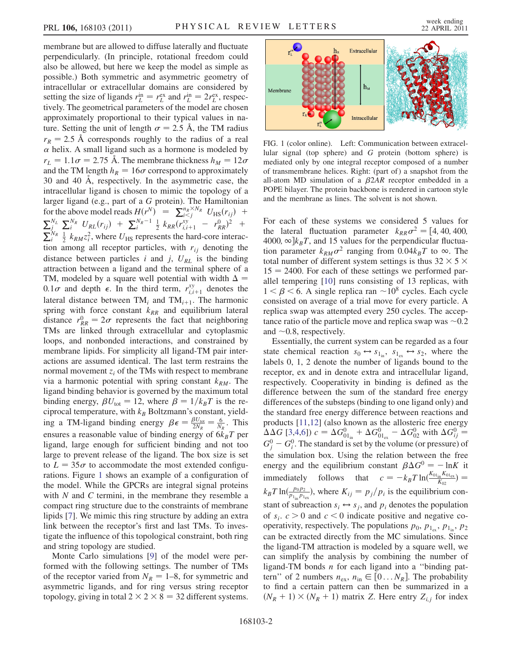membrane but are allowed to diffuse laterally and fluctuate perpendicularly. (In principle, rotational freedom could also be allowed, but here we keep the model as simple as possible.) Both symmetric and asymmetric geometry of intracellular or extracellular domains are considered by setting the size of ligands  $r_L^{\text{in}} = r_L^{\text{ex}}$  and  $r_L^{\text{in}} = 2r_L^{\text{ex}}$ , respectively. The geometrical parameters of the model are chosen tively. The geometrical parameters of the model are chosen approximately proportional to their typical values in nature. Setting the unit of length  $\sigma = 2.5$  Å, the TM radius  $r_R = 2.5$  Å corresponds roughly to the radius of a real  $\alpha$  helix. A small ligand such as a hormone is modeled by  $r_L = 1.1 \sigma = 2.75$  Å. The membrane thickness  $h_M = 12 \sigma$ and the TM length  $h_R = 16\sigma$  correspond to approximately 30 and 40 Å, respectively. In the asymmetric case, the intracellular ligand is chosen to mimic the topology of a larger ligand (e.g., part of a G protein). The Hamiltonian for the above model reads  $H(r^N) = \sum_{i=1}^{n_R \times N_R} U_{\text{HS}}(r_{ij}) + \sum_{i=1}^{N_R} V_{\text{HS}}(r_{ij})$  $\sum_{j}^{N_L} \sum_{i}^{N_R} U_{RL}(r_{ij}) + \sum_{i}^{N_R-1} \frac{1}{2} k_{RR}(r_{i,i+1}^{xy} - r_{RR}^0)^2$  +  $\sum_{i=1}^{N_R} \frac{1}{2} k_{RM} z_i^2$ , where  $U_{HS}$  represents the hard-core interaction among all receptor particles, with  $r_{tot}$  denoting the tion among all receptor particles, with  $r_{ij}$  denoting the distance between particles *i* and *j*,  $U_{RL}$  is the binding attraction between a ligand and the terminal sphere of a TM, modeled by a square well potential with width  $\Delta = 0.1\sigma$  and denth  $\epsilon$ . In the third term  $r^{xy}$  denotes the  $0.1\sigma$  and depth  $\epsilon$ . In the third term,  $r_{i,i+1}^{xy}$  denotes the lateral distance between  $TM_i$  and  $TM_{i+1}$ . The harmonic spring with force constant  $k_{RR}$  and equilibrium lateral distance  $r_{RR}^0 = 2\sigma$  represents the fact that neighboring<br>TMs are linked through extracellular and cytoplasmic TMs are linked through extracellular and cytoplasmic loops, and nonbonded interactions, and constrained by membrane lipids. For simplicity all ligand-TM pair interactions are assumed identical. The last term restrains the normal movement  $z_i$  of the TMs with respect to membrane via a harmonic potential with spring constant  $k_{RM}$ . The ligand binding behavior is governed by the maximum total binding energy,  $\beta U_{\text{tot}} = 12$ , where  $\beta = 1/k_B T$  is the reciprocal temperature, with  $k_B$  Boltzmann's constant, yielding a TM-ligand binding energy  $\beta \epsilon = \frac{\beta U_{\text{tot}}}{2N_R} = \frac{6}{N_R}$ . This ensures a reasonable value of binding energy of  $6k_BT$  per ligand, large enough for sufficient binding and not too large to prevent release of the ligand. The box size is set to  $L = 35\sigma$  to accommodate the most extended configurations. Figure [1](#page-2-0) shows an example of a configuration of the model. While the GPCRs are integral signal proteins with  $N$  and  $C$  termini, in the membrane they resemble a compact ring structure due to the constraints of membrane lipids [[7\]](#page-4-5). We mimic this ring structure by adding an extra link between the receptor's first and last TMs. To investigate the influence of this topological constraint, both ring and string topology are studied.

Monte Carlo simulations [\[9\]](#page-4-7) of the model were performed with the following settings. The number of TMs of the receptor varied from  $N_R = 1-8$ , for symmetric and asymmetric ligands, and for ring versus string receptor topology, giving in total  $2 \times 2 \times 8 = 32$  different systems.

<span id="page-2-0"></span>

FIG. 1 (color online). Left: Communication between extracellular signal (top sphere) and G protein (bottom sphere) is mediated only by one integral receptor composed of a number of transmembrane helices. Right: (part of ) a snapshot from the all-atom MD simulation of a  $\beta 2AR$  receptor embedded in a POPE bilayer. The protein backbone is rendered in cartoon style and the membrane as lines. The solvent is not shown.

For each of these systems we considered 5 values for the lateral fluctuation parameter  $k_{RR}\sigma^2 = [4, 40, 400,$ 4000,  $\infty$ ] $k_B T$ , and 15 values for the perpendicular fluctuation parameter  $k_{RM}\sigma^2$  ranging from 0.04 $k_BT$  to  $\infty$ . The total number of different system settings is thus  $32 \times 5 \times$  $15 = 2400$ . For each of these settings we performed parallel tempering [[10\]](#page-4-8) runs consisting of 13 replicas, with  $1 < \beta < 6$ . A single replica ran  $\sim 10^8$  cycles. Each cycle consisted on average of a trial move for every particle. A replica swap was attempted every 250 cycles. The acceptance ratio of the particle move and replica swap was  $\sim 0.2$ and  $\sim 0.8$ , respectively.

Essentially, the current system can be regarded as a four state chemical reaction  $s_0 \leftrightarrow s_{1_{in}}$ ,  $s_{1_{ex}} \leftrightarrow s_2$ , where the labels 0, 1, 2 denote the number of ligands bound to the receptor, ex and in denote extra and intracellular ligand, respectively. Cooperativity in binding is defined as the difference between the sum of the standard free energy differences of the substeps (binding to one ligand only) and the standard free energy difference between reactions and products [[11](#page-4-9),[12](#page-4-10)] (also known as the allosteric free energy  $\Delta\Delta G$  [[3](#page-4-2),[4](#page-4-3)[,6\]](#page-4-4))  $c = \Delta G_{01_{in}}^0 + \Delta G_{01_{ex}}^0 - \Delta G_{02}^0$  with  $\Delta G_{ij}^0 =$ <br> $G^0 - G^0$ . The standard is set by the volume (or pressure) of  $G_j^0 - G_i^0$ . The standard is set by the volume (or pressure) of the simulation box. Using the relation between the free energy and the equilibrium constant  $\beta \Delta G^0 = -\ln K$  it immediately follows that  $c = -k_B T \ln(\frac{K_{01_{in}} K_{01_{ex}}}{K_{02}}) =$  $k_B T \ln(\frac{p_0 p_2}{p_{1_{in}} p_{1_{ex}}})$ , where  $K_{ij} = p_j / p_i$  is the equilibrium constant of subreaction  $s_i \leftrightarrow s_j$ , and  $p_i$  denotes the population of  $s_i$ .  $c > 0$  and  $c < 0$  indicate positive and negative cooperativity, respectively. The populations  $p_0$ ,  $p_{1<sub>ex</sub>}, p_{1<sub>in</sub>}, p_2$ can be extracted directly from the MC simulations. Since the ligand-TM attraction is modeled by a square well, we can simplify the analysis by combining the number of ligand-TM bonds  $n$  for each ligand into a "binding pattern" of 2 numbers  $n_{ex}$ ,  $n_{in} \in [0...N_R]$ . The probability to find a certain pattern can then be summarized in a  $(N_R + 1) \times (N_R + 1)$  matrix Z. Here entry  $Z_{i,j}$  for index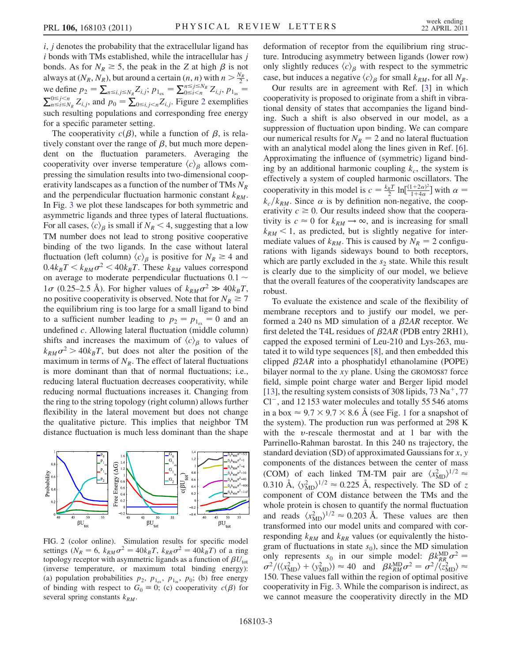$i, j$  denotes the probability that the extracellular ligand has  $i$  bonds with TMs established, while the intracellular has  $j$ bonds. As for  $N_R \geq 5$ , the peak in the Z at high  $\beta$  is not always at  $(N_R, N_R)$ , but around a certain  $(n, n)$  with  $n > \frac{N_R}{2}$ ,<br>we define  $n = \sum_{r=1}^{\infty} (N_R - N_R)$ we define  $p_2 = \sum_{n \le i, j \le N_R} Z_{i,j}; p_{1_{ex}} = \sum_{0 \le i < n} \frac{n \le j \le N_R}{n}$ we define  $p_2 = \sum_{n \le i,j \le N_R} Z_{i,j}; p_{1_{ex}} = \sum_{0 \le i \le n}^{n \le j \le N_R} Z_{i,j}, p_{1_{in}} = \sum_{n \le i \le N_R}^{0 \le j \le n} Z_{i,j}$  $p_2 = \sum_{n \le i,j \le N_R} Z_{i,j}; p_{1_{ex}} = \sum_{0 \le i \le n}^{n \le j \le N_R} Z_{i,j}, p_{1_{in}} = \sum_{n \le i \le N_R}^{0 \le j \le n} Z_{i,j}$  $p_2 = \sum_{n \le i,j \le N_R} Z_{i,j}; p_{1_{ex}} = \sum_{0 \le i \le n}^{n \le j \le N_R} Z_{i,j}, p_{1_{in}} = \sum_{n \le i \le N_R}^{0 \le j \le n} Z_{i,j}$ , and  $p_0 = \sum_{0 \le i,j \le n} Z_{i,j}$ . Figure 2 exemplifies such resulting populations and corresponding free energy for a specific parameter setting.

The cooperativity  $c(\beta)$ , while a function of  $\beta$ , is relatively constant over the range of  $\beta$ , but much more dependent on the fluctuation parameters. Averaging the cooperativity over inverse temperature  $\langle c \rangle_{\beta}$  allows compressing the simulation results into two-dimensional cooperativity landscapes as a function of the number of TMs  $N_R$ and the perpendicular fluctuation harmonic constant  $k_{RM}$ . In Fig. [3](#page-4-11) we plot these landscapes for both symmetric and asymmetric ligands and three types of lateral fluctuations. For all cases,  $\langle c \rangle_\beta$  is small if  $N_R < 4$ , suggesting that a low TM number does not lead to strong positive cooperative binding of the two ligands. In the case without lateral fluctuation (left column)  $\langle c \rangle_{\beta}$  is positive for  $N_R \geq 4$  and  $0.4k_BT < k_{RM}\sigma^2 < 40k_BT$ . These  $k_{RM}$  values correspond on average to moderate perpendicular fluctuations  $0.1 \sim$  $1\sigma$  (0.25–2.5 Å). For higher values of  $k_{RM}\sigma^2 \gg 40k_BT$ , no positive cooperativity is observed. Note that for  $N_R \ge 7$ the equilibrium ring is too large for a small ligand to bind to a sufficient number leading to  $p_2 = p_{1_{ex}} = 0$  and an undefined c. Allowing lateral fluctuation (middle column) shifts and increases the maximum of  $\langle c \rangle_{\beta}$  to values of  $k_{RM}\sigma^2 > 40k_BT$ , but does not alter the position of the maximum in terms of  $N_R$ . The effect of lateral fluctuations is more dominant than that of normal fluctuations; i.e., reducing lateral fluctuation decreases cooperativity, while reducing normal fluctuations increases it. Changing from the ring to the string topology (right column) allows further flexibility in the lateral movement but does not change the qualitative picture. This implies that neighbor TM distance fluctuation is much less dominant than the shape

<span id="page-3-0"></span>

FIG. 2 (color online). Simulation results for specific model settings ( $N_R = 6$ ,  $k_{RM}\sigma^2 = 40k_B T$ ,  $k_{RR}\sigma^2 = 40k_B T$ ) of a ring topology receptor with asymmetric ligands as a function of  $\beta U_{\text{tot}}$ (inverse temperature, or maximum total binding energy): (a) population probabilities  $p_2$ ,  $p_{1_{\text{ex}}}, p_{1_{\text{in}}}, p_0$ ; (b) free energy of binding with respect to  $G_0 \equiv 0$ ; (c) cooperativity  $c(\beta)$  for several spring constants  $k_{RM}$ .

deformation of receptor from the equilibrium ring structure. Introducing asymmetry between ligands (lower row) only slightly reduces  $\langle c \rangle_\beta$  with respect to the symmetric case, but induces a negative  $\langle c \rangle_\beta$  for small  $k_{RM}$ , for all  $N_R$ .

Our results are in agreement with Ref. [[3](#page-4-2)] in which cooperativity is proposed to originate from a shift in vibrational density of states that accompanies the ligand binding. Such a shift is also observed in our model, as a suppression of fluctuation upon binding. We can compare our numerical results for  $N_R = 2$  and no lateral fluctuation with an analytical model along the lines given in Ref. [[6\]](#page-4-4). Approximating the influence of (symmetric) ligand binding by an additional harmonic coupling  $k_c$ , the system is effectively a system of coupled harmonic oscillators. The cooperativity in this model is  $c = \frac{k_B T}{2} \ln \left[ \frac{(1+2\alpha)^2}{1+4\alpha} \right]$  with  $\alpha = k/k$ . cooperativity in this model is  $\epsilon$   $\frac{1}{2}$  in  $\frac{1}{4}$   $\frac{1}{4\alpha}$  if with a  $k_c/k_{RM}$ . Since  $\alpha$  is by definition non-negative, the cooperativity  $c \geq 0$ . Our results indeed show that the cooperativity is  $c \approx 0$  for  $k_{RM} \rightarrow \infty$ , and is increasing for small  $k_{RM}$  < 1, as predicted, but is slightly negative for intermediate values of  $k_{RM}$ . This is caused by  $N_R = 2$  configurations with ligands sideways bound to both receptors, which are partly excluded in the  $s_2$  state. While this result is clearly due to the simplicity of our model, we believe that the overall features of the cooperativity landscapes are robust.

To evaluate the existence and scale of the flexibility of membrane receptors and to justify our model, we performed a 240 ns MD simulation of a  $\beta$ 2AR receptor. We first deleted the T4L residues of  $\beta$ 2AR (PDB entry 2RH1), capped the exposed termini of Leu-210 and Lys-263, mutated it to wild type sequences [\[8](#page-4-6)], and then embedded this clipped  $\beta$ 2AR into a phosphatidyl ethanolamine (POPE) bilayer normal to the xy plane. Using the GROMOS87 force field, simple point charge water and Berger lipid model [\[13\]](#page-4-12), the resulting system consists of 308 lipids,  $73 \text{ Na}^+$ ,  $77$ Cl<sup>-</sup>, and 12 153 water molecules and totally 55 546 atoms<br>in a box  $\approx 0.7 \times 0.7 \times 8.6$  Å (see Fig. 1 for a spanshot of in a box  $\approx$  9.7  $\times$  9.7  $\times$  8.6 Å (see Fig. [1](#page-2-0) for a snapshot of the system). The production run was performed at 298 K with the  $v$ -rescale thermostat and at 1 bar with the Parrinello-Rahman barostat. In this 240 ns trajectory, the standard deviation (SD) of approximated Gaussians for  $x$ ,  $y$ components of the distances between the center of mass (COM) of each linked TM-TM pair are  $\langle x_{MD}^2 \rangle^{1/2} \approx 0.310 \text{ Å}$  ( $\gamma^2$   $\sim$  0.225 Å respectively The SD of z 0.310 Å,  $\langle y_{\text{MD}}^2 \rangle^{1/2} \approx 0.225$  Å, respectively. The SD of z component of COM distance between the TMs and the component of COM distance between the TMs and the whole protein is chosen to quantify the normal fluctuation and reads  $\langle x_{\text{MD}}^2 \rangle^{1/2} \approx 0.203$  Å. These values are then<br>transformed into our model units and compared with corand reads  $(x_{\text{MD}}^2)^{1/2} \approx 0.203$  A. These values are then transformed into our model units and compared with corresponding  $k_{RM}$  and  $k_{RR}$  values (or equivalently the histogram of fluctuations in state  $s_0$ ), since the MD simulation only represents  $s_0$  in our simple model:  $\beta k_{RR}^{\text{MD}} \sigma^2 =$ <br> $\sigma^2 / (\sqrt{x^2} + \sqrt{x^2} - x^2) \approx 40$  and  $\beta k_{RR}^{\text{MD}} \sigma^2 = \sigma^2 / (\sqrt{x^2} - x^2)$  $\sigma^2/(\langle x_{\text{MD}}^2 \rangle + \langle y_{\text{MD}}^2 \rangle) \approx 40$  and  $\beta k_{\text{RM}}^{\text{MD}} \sigma^2 = \sigma^2 / \langle z_{\text{MD}}^2 \rangle \approx 150$  These values fall within the region of ontimal nositive 150. These values fall within the region of optimal positive cooperativity in Fig. [3.](#page-4-11) While the comparison is indirect, as we cannot measure the cooperativity directly in the MD